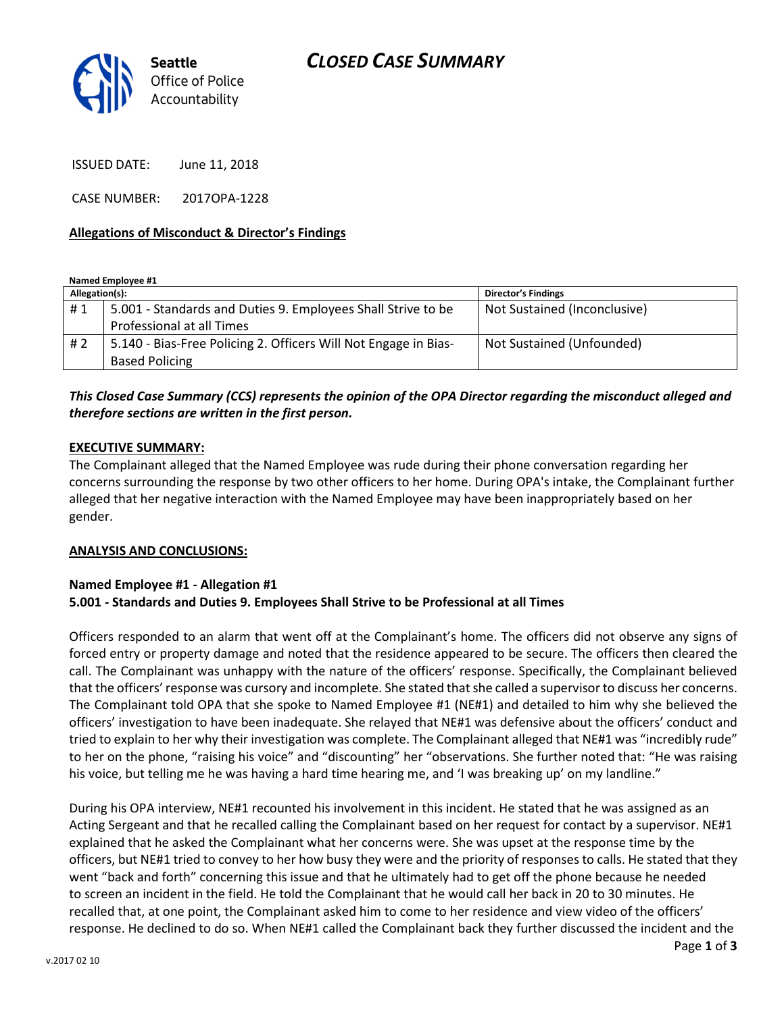

ISSUED DATE: June 11, 2018

CASE NUMBER: 2017OPA-1228

#### Allegations of Misconduct & Director's Findings

Named Employee #1

| Allegation(s): |                                                                 | <b>Director's Findings</b>   |
|----------------|-----------------------------------------------------------------|------------------------------|
| #1             | 5.001 - Standards and Duties 9. Employees Shall Strive to be    | Not Sustained (Inconclusive) |
|                | Professional at all Times                                       |                              |
| # 2            | 5.140 - Bias-Free Policing 2. Officers Will Not Engage in Bias- | Not Sustained (Unfounded)    |
|                | <b>Based Policing</b>                                           |                              |

## This Closed Case Summary (CCS) represents the opinion of the OPA Director regarding the misconduct alleged and therefore sections are written in the first person.

#### EXECUTIVE SUMMARY:

The Complainant alleged that the Named Employee was rude during their phone conversation regarding her concerns surrounding the response by two other officers to her home. During OPA's intake, the Complainant further alleged that her negative interaction with the Named Employee may have been inappropriately based on her gender.

#### ANALYSIS AND CONCLUSIONS:

#### Named Employee #1 - Allegation #1 5.001 - Standards and Duties 9. Employees Shall Strive to be Professional at all Times

Officers responded to an alarm that went off at the Complainant's home. The officers did not observe any signs of forced entry or property damage and noted that the residence appeared to be secure. The officers then cleared the call. The Complainant was unhappy with the nature of the officers' response. Specifically, the Complainant believed that the officers' response was cursory and incomplete. She stated that she called a supervisor to discuss her concerns. The Complainant told OPA that she spoke to Named Employee #1 (NE#1) and detailed to him why she believed the officers' investigation to have been inadequate. She relayed that NE#1 was defensive about the officers' conduct and tried to explain to her why their investigation was complete. The Complainant alleged that NE#1 was "incredibly rude" to her on the phone, "raising his voice" and "discounting" her "observations. She further noted that: "He was raising his voice, but telling me he was having a hard time hearing me, and 'I was breaking up' on my landline."

During his OPA interview, NE#1 recounted his involvement in this incident. He stated that he was assigned as an Acting Sergeant and that he recalled calling the Complainant based on her request for contact by a supervisor. NE#1 explained that he asked the Complainant what her concerns were. She was upset at the response time by the officers, but NE#1 tried to convey to her how busy they were and the priority of responses to calls. He stated that they went "back and forth" concerning this issue and that he ultimately had to get off the phone because he needed to screen an incident in the field. He told the Complainant that he would call her back in 20 to 30 minutes. He recalled that, at one point, the Complainant asked him to come to her residence and view video of the officers' response. He declined to do so. When NE#1 called the Complainant back they further discussed the incident and the

Page 1 of 3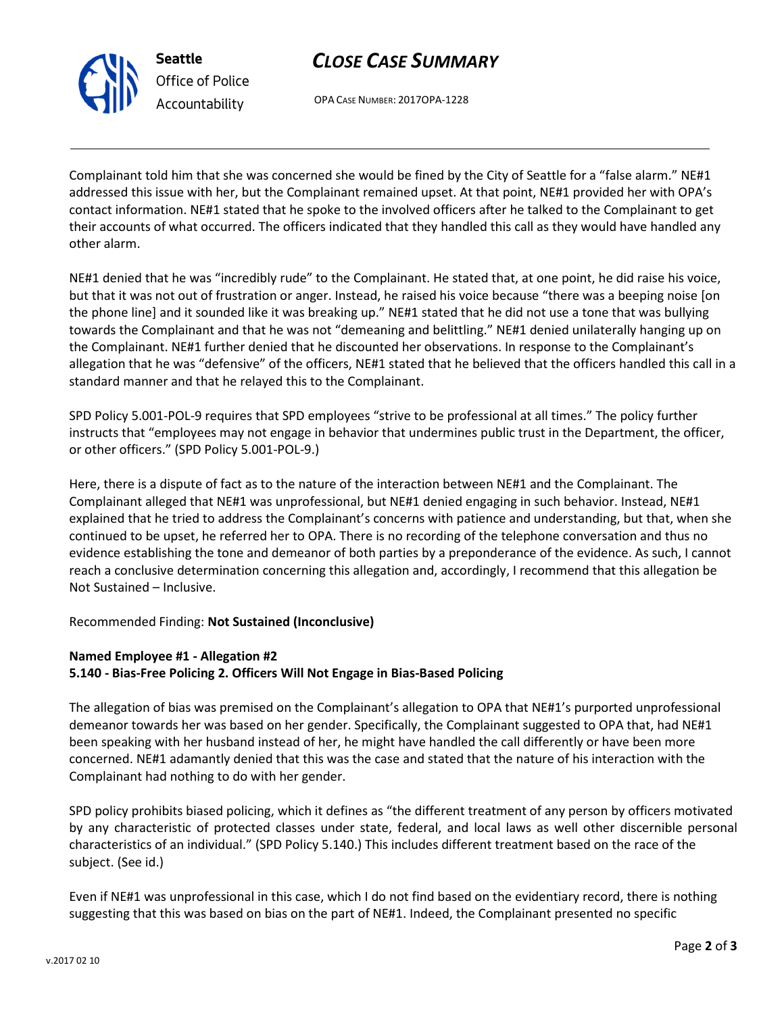

Seattle Office of Police Accountability

# CLOSE CASE SUMMARY

OPA CASE NUMBER: 2017OPA-1228

Complainant told him that she was concerned she would be fined by the City of Seattle for a "false alarm." NE#1 addressed this issue with her, but the Complainant remained upset. At that point, NE#1 provided her with OPA's contact information. NE#1 stated that he spoke to the involved officers after he talked to the Complainant to get their accounts of what occurred. The officers indicated that they handled this call as they would have handled any other alarm.

NE#1 denied that he was "incredibly rude" to the Complainant. He stated that, at one point, he did raise his voice, but that it was not out of frustration or anger. Instead, he raised his voice because "there was a beeping noise [on the phone line] and it sounded like it was breaking up." NE#1 stated that he did not use a tone that was bullying towards the Complainant and that he was not "demeaning and belittling." NE#1 denied unilaterally hanging up on the Complainant. NE#1 further denied that he discounted her observations. In response to the Complainant's allegation that he was "defensive" of the officers, NE#1 stated that he believed that the officers handled this call in a standard manner and that he relayed this to the Complainant.

SPD Policy 5.001-POL-9 requires that SPD employees "strive to be professional at all times." The policy further instructs that "employees may not engage in behavior that undermines public trust in the Department, the officer, or other officers." (SPD Policy 5.001-POL-9.)

Here, there is a dispute of fact as to the nature of the interaction between NE#1 and the Complainant. The Complainant alleged that NE#1 was unprofessional, but NE#1 denied engaging in such behavior. Instead, NE#1 explained that he tried to address the Complainant's concerns with patience and understanding, but that, when she continued to be upset, he referred her to OPA. There is no recording of the telephone conversation and thus no evidence establishing the tone and demeanor of both parties by a preponderance of the evidence. As such, I cannot reach a conclusive determination concerning this allegation and, accordingly, I recommend that this allegation be Not Sustained – Inclusive.

Recommended Finding: Not Sustained (Inconclusive)

### Named Employee #1 - Allegation #2

5.140 - Bias-Free Policing 2. Officers Will Not Engage in Bias-Based Policing

The allegation of bias was premised on the Complainant's allegation to OPA that NE#1's purported unprofessional demeanor towards her was based on her gender. Specifically, the Complainant suggested to OPA that, had NE#1 been speaking with her husband instead of her, he might have handled the call differently or have been more concerned. NE#1 adamantly denied that this was the case and stated that the nature of his interaction with the Complainant had nothing to do with her gender.

SPD policy prohibits biased policing, which it defines as "the different treatment of any person by officers motivated by any characteristic of protected classes under state, federal, and local laws as well other discernible personal characteristics of an individual." (SPD Policy 5.140.) This includes different treatment based on the race of the subject. (See id.)

Even if NE#1 was unprofessional in this case, which I do not find based on the evidentiary record, there is nothing suggesting that this was based on bias on the part of NE#1. Indeed, the Complainant presented no specific